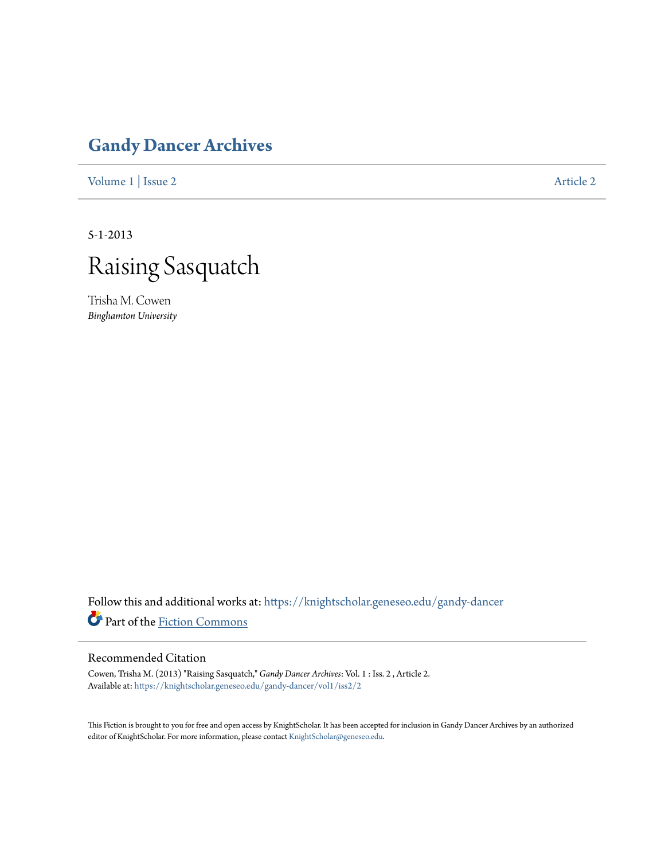## **[Gandy Dancer Archives](https://knightscholar.geneseo.edu/gandy-dancer?utm_source=knightscholar.geneseo.edu%2Fgandy-dancer%2Fvol1%2Fiss2%2F2&utm_medium=PDF&utm_campaign=PDFCoverPages)**

[Volume 1](https://knightscholar.geneseo.edu/gandy-dancer/vol1?utm_source=knightscholar.geneseo.edu%2Fgandy-dancer%2Fvol1%2Fiss2%2F2&utm_medium=PDF&utm_campaign=PDFCoverPages) | [Issue 2](https://knightscholar.geneseo.edu/gandy-dancer/vol1/iss2?utm_source=knightscholar.geneseo.edu%2Fgandy-dancer%2Fvol1%2Fiss2%2F2&utm_medium=PDF&utm_campaign=PDFCoverPages) [Article 2](https://knightscholar.geneseo.edu/gandy-dancer/vol1/iss2/2?utm_source=knightscholar.geneseo.edu%2Fgandy-dancer%2Fvol1%2Fiss2%2F2&utm_medium=PDF&utm_campaign=PDFCoverPages)

5-1-2013



Trisha M. Cowen *Binghamton University*

Follow this and additional works at: [https://knightscholar.geneseo.edu/gandy-dancer](https://knightscholar.geneseo.edu/gandy-dancer?utm_source=knightscholar.geneseo.edu%2Fgandy-dancer%2Fvol1%2Fiss2%2F2&utm_medium=PDF&utm_campaign=PDFCoverPages) Part of the [Fiction Commons](http://network.bepress.com/hgg/discipline/1151?utm_source=knightscholar.geneseo.edu%2Fgandy-dancer%2Fvol1%2Fiss2%2F2&utm_medium=PDF&utm_campaign=PDFCoverPages)

## Recommended Citation

Cowen, Trisha M. (2013) "Raising Sasquatch," *Gandy Dancer Archives*: Vol. 1 : Iss. 2 , Article 2. Available at: [https://knightscholar.geneseo.edu/gandy-dancer/vol1/iss2/2](https://knightscholar.geneseo.edu/gandy-dancer/vol1/iss2/2?utm_source=knightscholar.geneseo.edu%2Fgandy-dancer%2Fvol1%2Fiss2%2F2&utm_medium=PDF&utm_campaign=PDFCoverPages)

This Fiction is brought to you for free and open access by KnightScholar. It has been accepted for inclusion in Gandy Dancer Archives by an authorized editor of KnightScholar. For more information, please contact [KnightScholar@geneseo.edu.](mailto:KnightScholar@geneseo.edu)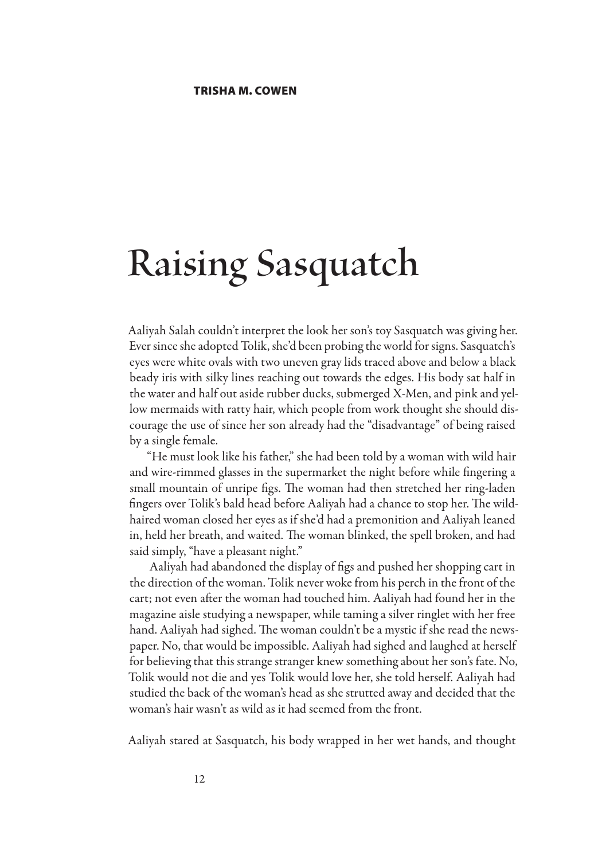## **Raising Sasquatch**

Aaliyah Salah couldn't interpret the look her son's toy Sasquatch was giving her. Ever since she adopted Tolik, she'd been probing the world for signs. Sasquatch's eyes were white ovals with two uneven gray lids traced above and below a black beady iris with silky lines reaching out towards the edges. His body sat half in the water and half out aside rubber ducks, submerged X-Men, and pink and yellow mermaids with ratty hair, which people from work thought she should discourage the use of since her son already had the "disadvantage" of being raised by a single female.

"He must look like his father," she had been told by a woman with wild hair and wire-rimmed glasses in the supermarket the night before while fingering a small mountain of unripe figs. The woman had then stretched her ring-laden fingers over Tolik's bald head before Aaliyah had a chance to stop her. The wildhaired woman closed her eyes as if she'd had a premonition and Aaliyah leaned in, held her breath, and waited. The woman blinked, the spell broken, and had said simply, "have a pleasant night."

Aaliyah had abandoned the display of figs and pushed her shopping cart in the direction of the woman. Tolik never woke from his perch in the front of the cart; not even after the woman had touched him. Aaliyah had found her in the magazine aisle studying a newspaper, while taming a silver ringlet with her free hand. Aaliyah had sighed. The woman couldn't be a mystic if she read the newspaper. No, that would be impossible. Aaliyah had sighed and laughed at herself for believing that this strange stranger knew something about her son's fate. No, Tolik would not die and yes Tolik would love her, she told herself. Aaliyah had studied the back of the woman's head as she strutted away and decided that the woman's hair wasn't as wild as it had seemed from the front.

Aaliyah stared at Sasquatch, his body wrapped in her wet hands, and thought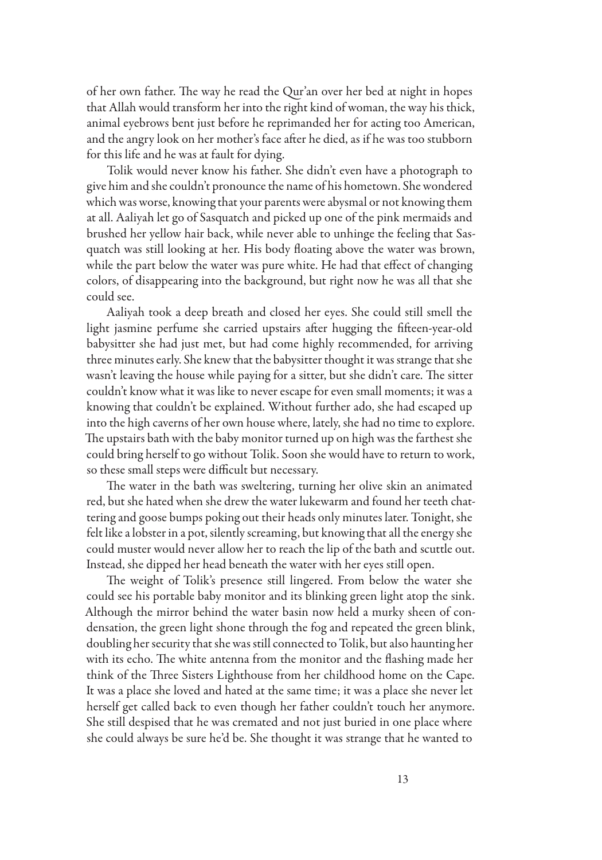of her own father. The way he read the Qur'an over her bed at night in hopes that Allah would transform her into the right kind of woman, the way his thick, animal eyebrows bent just before he reprimanded her for acting too American, and the angry look on her mother's face after he died, as if he was too stubborn for this life and he was at fault for dying.

Tolik would never know his father. She didn't even have a photograph to give him and she couldn't pronounce the name of his hometown. She wondered which was worse, knowing that your parents were abysmal or not knowing them at all. Aaliyah let go of Sasquatch and picked up one of the pink mermaids and brushed her yellow hair back, while never able to unhinge the feeling that Sasquatch was still looking at her. His body floating above the water was brown, while the part below the water was pure white. He had that effect of changing colors, of disappearing into the background, but right now he was all that she could see.

Aaliyah took a deep breath and closed her eyes. She could still smell the light jasmine perfume she carried upstairs after hugging the fifteen-year-old babysitter she had just met, but had come highly recommended, for arriving three minutes early. She knew that the babysitter thought it was strange that she wasn't leaving the house while paying for a sitter, but she didn't care. The sitter couldn't know what it was like to never escape for even small moments; it was a knowing that couldn't be explained. Without further ado, she had escaped up into the high caverns of her own house where, lately, she had no time to explore. The upstairs bath with the baby monitor turned up on high was the farthest she could bring herself to go without Tolik. Soon she would have to return to work, so these small steps were difficult but necessary.

The water in the bath was sweltering, turning her olive skin an animated red, but she hated when she drew the water lukewarm and found her teeth chattering and goose bumps poking out their heads only minutes later. Tonight, she felt like a lobster in a pot, silently screaming, but knowing that all the energy she could muster would never allow her to reach the lip of the bath and scuttle out. Instead, she dipped her head beneath the water with her eyes still open.

The weight of Tolik's presence still lingered. From below the water she could see his portable baby monitor and its blinking green light atop the sink. Although the mirror behind the water basin now held a murky sheen of condensation, the green light shone through the fog and repeated the green blink, doubling her security that she was still connected to Tolik, but also haunting her with its echo. The white antenna from the monitor and the flashing made her think of the Three Sisters Lighthouse from her childhood home on the Cape. It was a place she loved and hated at the same time; it was a place she never let herself get called back to even though her father couldn't touch her anymore. She still despised that he was cremated and not just buried in one place where she could always be sure he'd be. She thought it was strange that he wanted to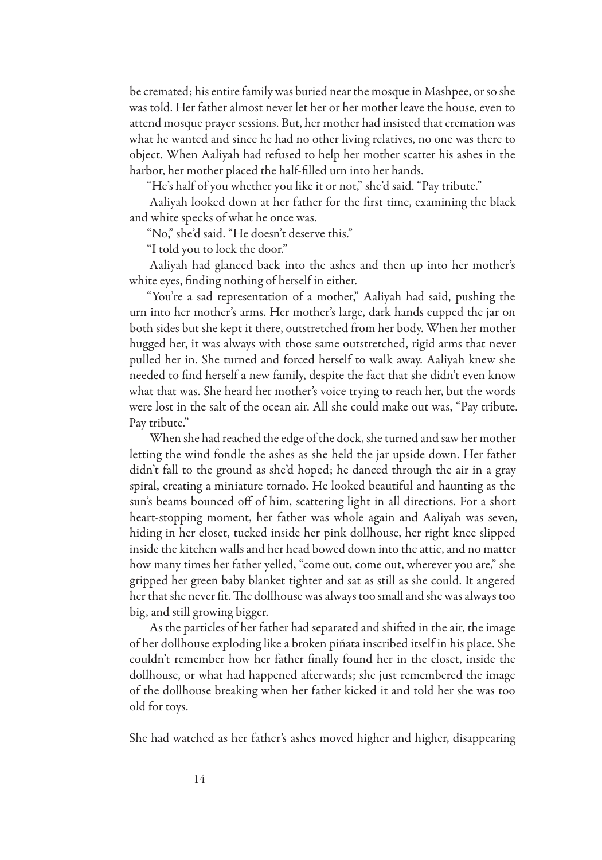be cremated; his entire family was buried near the mosque in Mashpee, or so she was told. Her father almost never let her or her mother leave the house, even to attend mosque prayer sessions. But, her mother had insisted that cremation was what he wanted and since he had no other living relatives, no one was there to object. When Aaliyah had refused to help her mother scatter his ashes in the harbor, her mother placed the half-filled urn into her hands.

"He's half of you whether you like it or not," she'd said. "Pay tribute."

Aaliyah looked down at her father for the first time, examining the black and white specks of what he once was.

"No," she'd said. "He doesn't deserve this."

"I told you to lock the door."

Aaliyah had glanced back into the ashes and then up into her mother's white eyes, finding nothing of herself in either.

"You're a sad representation of a mother," Aaliyah had said, pushing the urn into her mother's arms. Her mother's large, dark hands cupped the jar on both sides but she kept it there, outstretched from her body. When her mother hugged her, it was always with those same outstretched, rigid arms that never pulled her in. She turned and forced herself to walk away. Aaliyah knew she needed to find herself a new family, despite the fact that she didn't even know what that was. She heard her mother's voice trying to reach her, but the words were lost in the salt of the ocean air. All she could make out was, "Pay tribute. Pay tribute."

When she had reached the edge of the dock, she turned and saw her mother letting the wind fondle the ashes as she held the jar upside down. Her father didn't fall to the ground as she'd hoped; he danced through the air in a gray spiral, creating a miniature tornado. He looked beautiful and haunting as the sun's beams bounced off of him, scattering light in all directions. For a short heart-stopping moment, her father was whole again and Aaliyah was seven, hiding in her closet, tucked inside her pink dollhouse, her right knee slipped inside the kitchen walls and her head bowed down into the attic, and no matter how many times her father yelled, "come out, come out, wherever you are," she gripped her green baby blanket tighter and sat as still as she could. It angered her that she never fit. The dollhouse was always too small and she was always too big, and still growing bigger.

As the particles of her father had separated and shifted in the air, the image of her dollhouse exploding like a broken piñata inscribed itself in his place. She couldn't remember how her father finally found her in the closet, inside the dollhouse, or what had happened afterwards; she just remembered the image of the dollhouse breaking when her father kicked it and told her she was too old for toys.

She had watched as her father's ashes moved higher and higher, disappearing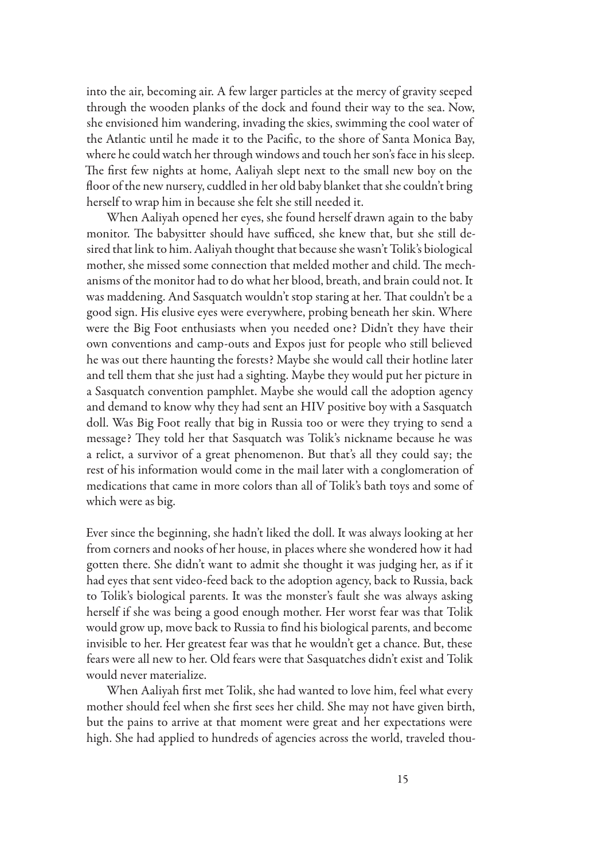into the air, becoming air. A few larger particles at the mercy of gravity seeped through the wooden planks of the dock and found their way to the sea. Now, she envisioned him wandering, invading the skies, swimming the cool water of the Atlantic until he made it to the Pacific, to the shore of Santa Monica Bay, where he could watch her through windows and touch her son's face in his sleep. The first few nights at home, Aaliyah slept next to the small new boy on the floor of the new nursery, cuddled in her old baby blanket that she couldn't bring herself to wrap him in because she felt she still needed it.

When Aaliyah opened her eyes, she found herself drawn again to the baby monitor. The babysitter should have sufficed, she knew that, but she still desired that link to him. Aaliyah thought that because she wasn't Tolik's biological mother, she missed some connection that melded mother and child. The mechanisms of the monitor had to do what her blood, breath, and brain could not. It was maddening. And Sasquatch wouldn't stop staring at her. That couldn't be a good sign. His elusive eyes were everywhere, probing beneath her skin. Where were the Big Foot enthusiasts when you needed one? Didn't they have their own conventions and camp-outs and Expos just for people who still believed he was out there haunting the forests? Maybe she would call their hotline later and tell them that she just had a sighting. Maybe they would put her picture in a Sasquatch convention pamphlet. Maybe she would call the adoption agency and demand to know why they had sent an HIV positive boy with a Sasquatch doll. Was Big Foot really that big in Russia too or were they trying to send a message? They told her that Sasquatch was Tolik's nickname because he was a relict, a survivor of a great phenomenon. But that's all they could say; the rest of his information would come in the mail later with a conglomeration of medications that came in more colors than all of Tolik's bath toys and some of which were as big.

Ever since the beginning, she hadn't liked the doll. It was always looking at her from corners and nooks of her house, in places where she wondered how it had gotten there. She didn't want to admit she thought it was judging her, as if it had eyes that sent video-feed back to the adoption agency, back to Russia, back to Tolik's biological parents. It was the monster's fault she was always asking herself if she was being a good enough mother. Her worst fear was that Tolik would grow up, move back to Russia to find his biological parents, and become invisible to her. Her greatest fear was that he wouldn't get a chance. But, these fears were all new to her. Old fears were that Sasquatches didn't exist and Tolik would never materialize.

When Aaliyah first met Tolik, she had wanted to love him, feel what every mother should feel when she first sees her child. She may not have given birth, but the pains to arrive at that moment were great and her expectations were high. She had applied to hundreds of agencies across the world, traveled thou-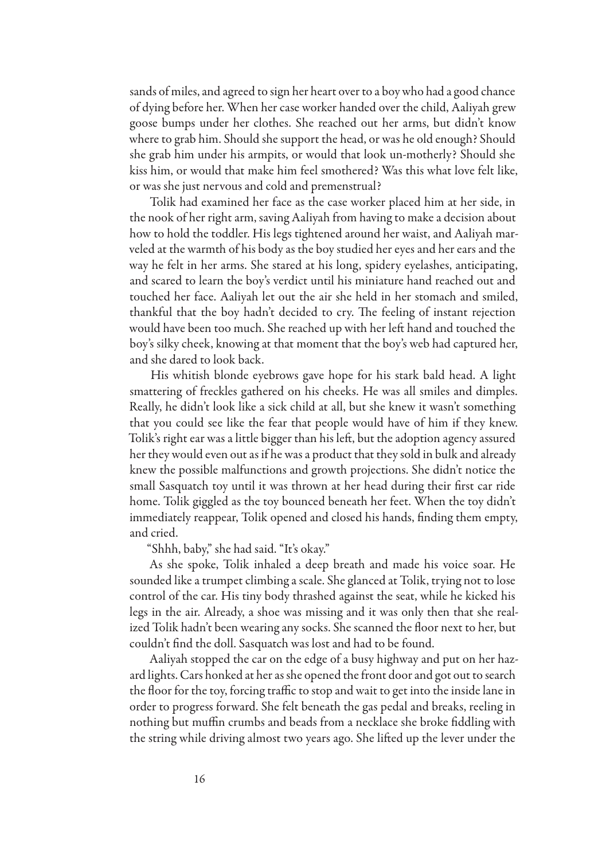sands of miles, and agreed to sign her heart over to a boy who had a good chance of dying before her. When her case worker handed over the child, Aaliyah grew goose bumps under her clothes. She reached out her arms, but didn't know where to grab him. Should she support the head, or was he old enough? Should she grab him under his armpits, or would that look un-motherly? Should she kiss him, or would that make him feel smothered? Was this what love felt like, or was she just nervous and cold and premenstrual?

Tolik had examined her face as the case worker placed him at her side, in the nook of her right arm, saving Aaliyah from having to make a decision about how to hold the toddler. His legs tightened around her waist, and Aaliyah marveled at the warmth of his body as the boy studied her eyes and her ears and the way he felt in her arms. She stared at his long, spidery eyelashes, anticipating, and scared to learn the boy's verdict until his miniature hand reached out and touched her face. Aaliyah let out the air she held in her stomach and smiled, thankful that the boy hadn't decided to cry. The feeling of instant rejection would have been too much. She reached up with her left hand and touched the boy's silky cheek, knowing at that moment that the boy's web had captured her, and she dared to look back.

His whitish blonde eyebrows gave hope for his stark bald head. A light smattering of freckles gathered on his cheeks. He was all smiles and dimples. Really, he didn't look like a sick child at all, but she knew it wasn't something that you could see like the fear that people would have of him if they knew. Tolik's right ear was a little bigger than his left, but the adoption agency assured her they would even out as if he was a product that they sold in bulk and already knew the possible malfunctions and growth projections. She didn't notice the small Sasquatch toy until it was thrown at her head during their first car ride home. Tolik giggled as the toy bounced beneath her feet. When the toy didn't immediately reappear, Tolik opened and closed his hands, finding them empty, and cried.

"Shhh, baby," she had said. "It's okay."

As she spoke, Tolik inhaled a deep breath and made his voice soar. He sounded like a trumpet climbing a scale. She glanced at Tolik, trying not to lose control of the car. His tiny body thrashed against the seat, while he kicked his legs in the air. Already, a shoe was missing and it was only then that she realized Tolik hadn't been wearing any socks. She scanned the floor next to her, but couldn't find the doll. Sasquatch was lost and had to be found.

Aaliyah stopped the car on the edge of a busy highway and put on her hazard lights. Cars honked at her as she opened the front door and got out to search the floor for the toy, forcing traffic to stop and wait to get into the inside lane in order to progress forward. She felt beneath the gas pedal and breaks, reeling in nothing but muffin crumbs and beads from a necklace she broke fiddling with the string while driving almost two years ago. She lifted up the lever under the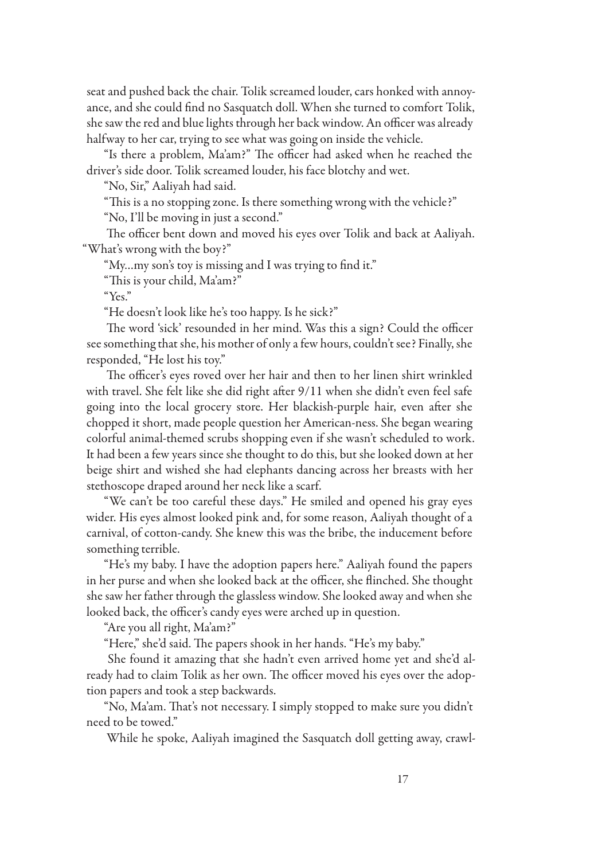seat and pushed back the chair. Tolik screamed louder, cars honked with annoyance, and she could find no Sasquatch doll. When she turned to comfort Tolik, she saw the red and blue lights through her back window. An officer was already halfway to her car, trying to see what was going on inside the vehicle.

"Is there a problem, Ma'am?" The officer had asked when he reached the driver's side door. Tolik screamed louder, his face blotchy and wet.

"No, Sir," Aaliyah had said.

"This is a no stopping zone. Is there something wrong with the vehicle?"

"No, I'll be moving in just a second."

The officer bent down and moved his eyes over Tolik and back at Aaliyah. "What's wrong with the boy?"

"My…my son's toy is missing and I was trying to find it."

"This is your child, Ma'am?"

"Yes."

"He doesn't look like he's too happy. Is he sick?"

The word 'sick' resounded in her mind. Was this a sign? Could the officer see something that she, his mother of only a few hours, couldn't see? Finally, she responded, "He lost his toy."

The officer's eyes roved over her hair and then to her linen shirt wrinkled with travel. She felt like she did right after 9/11 when she didn't even feel safe going into the local grocery store. Her blackish-purple hair, even after she chopped it short, made people question her American-ness. She began wearing colorful animal-themed scrubs shopping even if she wasn't scheduled to work. It had been a few years since she thought to do this, but she looked down at her beige shirt and wished she had elephants dancing across her breasts with her stethoscope draped around her neck like a scarf.

"We can't be too careful these days." He smiled and opened his gray eyes wider. His eyes almost looked pink and, for some reason, Aaliyah thought of a carnival, of cotton-candy. She knew this was the bribe, the inducement before something terrible.

"He's my baby. I have the adoption papers here." Aaliyah found the papers in her purse and when she looked back at the officer, she flinched. She thought she saw her father through the glassless window. She looked away and when she looked back, the officer's candy eyes were arched up in question.

"Are you all right, Ma'am?"

"Here," she'd said. The papers shook in her hands. "He's my baby."

She found it amazing that she hadn't even arrived home yet and she'd already had to claim Tolik as her own. The officer moved his eyes over the adoption papers and took a step backwards.

"No, Ma'am. That's not necessary. I simply stopped to make sure you didn't need to be towed."

While he spoke, Aaliyah imagined the Sasquatch doll getting away, crawl-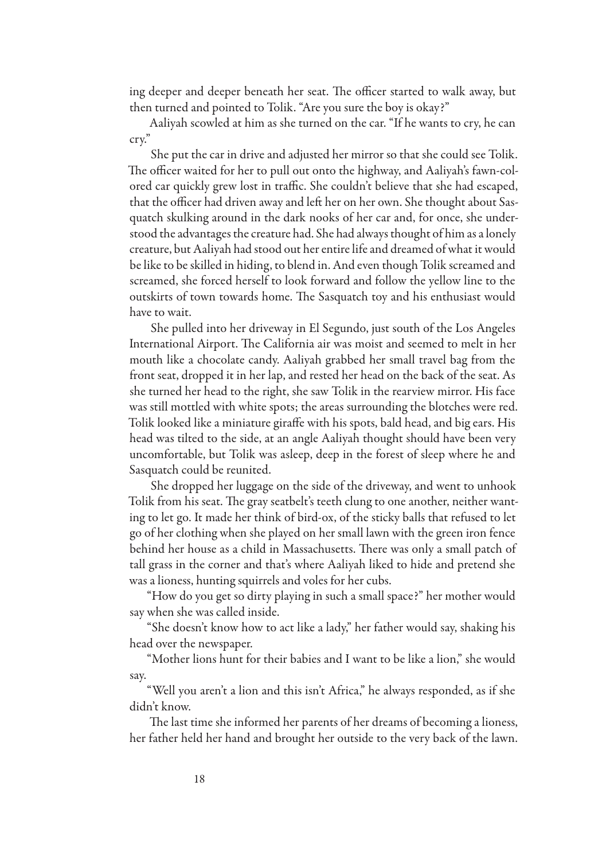ing deeper and deeper beneath her seat. The officer started to walk away, but then turned and pointed to Tolik. "Are you sure the boy is okay?"

Aaliyah scowled at him as she turned on the car. "If he wants to cry, he can cry."

She put the car in drive and adjusted her mirror so that she could see Tolik. The officer waited for her to pull out onto the highway, and Aaliyah's fawn-colored car quickly grew lost in traffic. She couldn't believe that she had escaped, that the officer had driven away and left her on her own. She thought about Sasquatch skulking around in the dark nooks of her car and, for once, she understood the advantages the creature had. She had always thought of him as a lonely creature, but Aaliyah had stood out her entire life and dreamed of what it would be like to be skilled in hiding, to blend in. And even though Tolik screamed and screamed, she forced herself to look forward and follow the yellow line to the outskirts of town towards home. The Sasquatch toy and his enthusiast would have to wait.

She pulled into her driveway in El Segundo, just south of the Los Angeles International Airport. The California air was moist and seemed to melt in her mouth like a chocolate candy. Aaliyah grabbed her small travel bag from the front seat, dropped it in her lap, and rested her head on the back of the seat. As she turned her head to the right, she saw Tolik in the rearview mirror. His face was still mottled with white spots; the areas surrounding the blotches were red. Tolik looked like a miniature giraffe with his spots, bald head, and big ears. His head was tilted to the side, at an angle Aaliyah thought should have been very uncomfortable, but Tolik was asleep, deep in the forest of sleep where he and Sasquatch could be reunited.

She dropped her luggage on the side of the driveway, and went to unhook Tolik from his seat. The gray seatbelt's teeth clung to one another, neither wanting to let go. It made her think of bird-ox, of the sticky balls that refused to let go of her clothing when she played on her small lawn with the green iron fence behind her house as a child in Massachusetts. There was only a small patch of tall grass in the corner and that's where Aaliyah liked to hide and pretend she was a lioness, hunting squirrels and voles for her cubs.

"How do you get so dirty playing in such a small space?" her mother would say when she was called inside.

"She doesn't know how to act like a lady," her father would say, shaking his head over the newspaper.

"Mother lions hunt for their babies and I want to be like a lion," she would say.

"Well you aren't a lion and this isn't Africa," he always responded, as if she didn't know.

The last time she informed her parents of her dreams of becoming a lioness, her father held her hand and brought her outside to the very back of the lawn.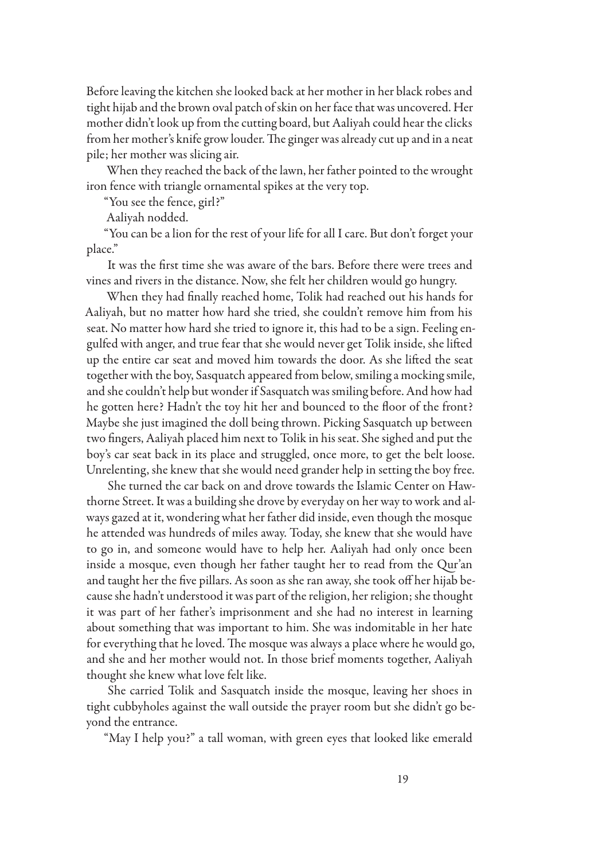Before leaving the kitchen she looked back at her mother in her black robes and tight hijab and the brown oval patch of skin on her face that was uncovered. Her mother didn't look up from the cutting board, but Aaliyah could hear the clicks from her mother's knife grow louder. The ginger was already cut up and in a neat pile; her mother was slicing air.

When they reached the back of the lawn, her father pointed to the wrought iron fence with triangle ornamental spikes at the very top.

"You see the fence, girl?"

Aaliyah nodded.

"You can be a lion for the rest of your life for all I care. But don't forget your place."

It was the first time she was aware of the bars. Before there were trees and vines and rivers in the distance. Now, she felt her children would go hungry.

When they had finally reached home, Tolik had reached out his hands for Aaliyah, but no matter how hard she tried, she couldn't remove him from his seat. No matter how hard she tried to ignore it, this had to be a sign. Feeling engulfed with anger, and true fear that she would never get Tolik inside, she lifted up the entire car seat and moved him towards the door. As she lifted the seat together with the boy, Sasquatch appeared from below, smiling a mocking smile, and she couldn't help but wonder if Sasquatch was smiling before. And how had he gotten here? Hadn't the toy hit her and bounced to the floor of the front? Maybe she just imagined the doll being thrown. Picking Sasquatch up between two fingers, Aaliyah placed him next to Tolik in his seat. She sighed and put the boy's car seat back in its place and struggled, once more, to get the belt loose. Unrelenting, she knew that she would need grander help in setting the boy free.

She turned the car back on and drove towards the Islamic Center on Hawthorne Street. It was a building she drove by everyday on her way to work and always gazed at it, wondering what her father did inside, even though the mosque he attended was hundreds of miles away. Today, she knew that she would have to go in, and someone would have to help her. Aaliyah had only once been inside a mosque, even though her father taught her to read from the Qur'an and taught her the five pillars. As soon as she ran away, she took off her hijab because she hadn't understood it was part of the religion, her religion; she thought it was part of her father's imprisonment and she had no interest in learning about something that was important to him. She was indomitable in her hate for everything that he loved. The mosque was always a place where he would go, and she and her mother would not. In those brief moments together, Aaliyah thought she knew what love felt like.

She carried Tolik and Sasquatch inside the mosque, leaving her shoes in tight cubbyholes against the wall outside the prayer room but she didn't go beyond the entrance.

"May I help you?" a tall woman, with green eyes that looked like emerald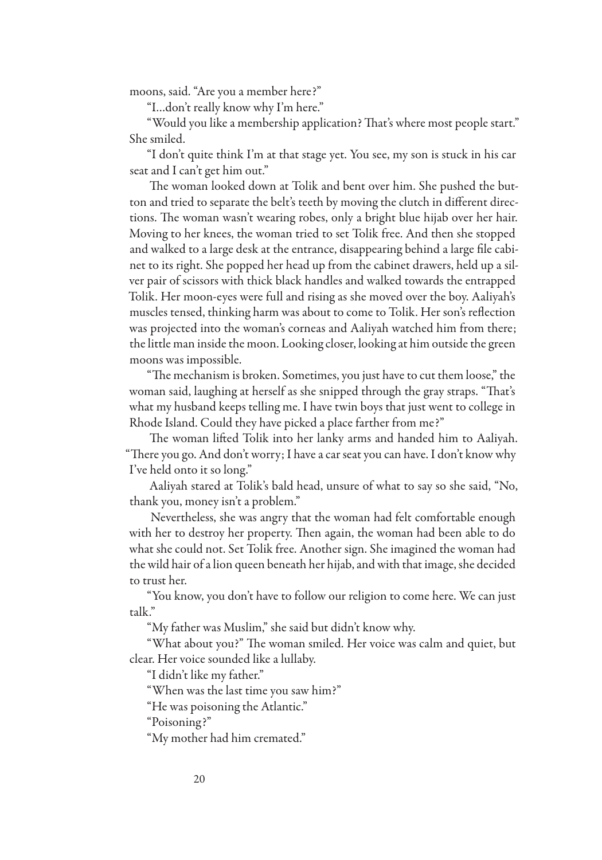moons, said. "Are you a member here?"

"I…don't really know why I'm here."

"Would you like a membership application? That's where most people start." She smiled.

"I don't quite think I'm at that stage yet. You see, my son is stuck in his car seat and I can't get him out."

The woman looked down at Tolik and bent over him. She pushed the button and tried to separate the belt's teeth by moving the clutch in different directions. The woman wasn't wearing robes, only a bright blue hijab over her hair. Moving to her knees, the woman tried to set Tolik free. And then she stopped and walked to a large desk at the entrance, disappearing behind a large file cabinet to its right. She popped her head up from the cabinet drawers, held up a silver pair of scissors with thick black handles and walked towards the entrapped Tolik. Her moon-eyes were full and rising as she moved over the boy. Aaliyah's muscles tensed, thinking harm was about to come to Tolik. Her son's reflection was projected into the woman's corneas and Aaliyah watched him from there; the little man inside the moon. Looking closer, looking at him outside the green moons was impossible.

"The mechanism is broken. Sometimes, you just have to cut them loose," the woman said, laughing at herself as she snipped through the gray straps. "That's what my husband keeps telling me. I have twin boys that just went to college in Rhode Island. Could they have picked a place farther from me?"

The woman lifted Tolik into her lanky arms and handed him to Aaliyah. "There you go. And don't worry; I have a car seat you can have. I don't know why I've held onto it so long."

Aaliyah stared at Tolik's bald head, unsure of what to say so she said, "No, thank you, money isn't a problem."

Nevertheless, she was angry that the woman had felt comfortable enough with her to destroy her property. Then again, the woman had been able to do what she could not. Set Tolik free. Another sign. She imagined the woman had the wild hair of a lion queen beneath her hijab, and with that image, she decided to trust her.

"You know, you don't have to follow our religion to come here. We can just talk."

"My father was Muslim," she said but didn't know why.

"What about you?" The woman smiled. Her voice was calm and quiet, but clear. Her voice sounded like a lullaby.

"I didn't like my father."

"When was the last time you saw him?"

"He was poisoning the Atlantic."

"Poisoning?"

"My mother had him cremated."